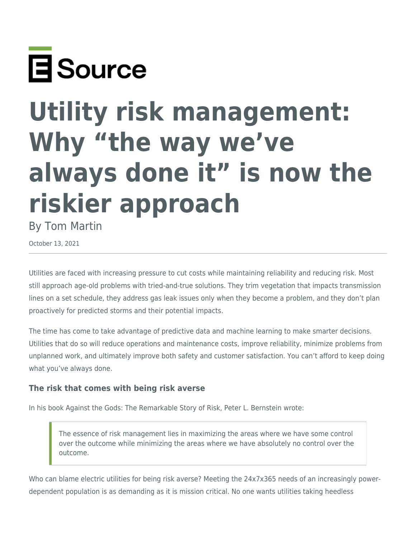

# **Utility risk management: Why "the way we've always done it" is now the riskier approach**

By Tom Martin

October 13, 2021

Utilities are faced with increasing pressure to cut costs while maintaining reliability and reducing risk. Most still approach age-old problems with tried-and-true solutions. They trim vegetation that impacts transmission lines on a set schedule, they address gas leak issues only when they become a problem, and they don't plan proactively for predicted storms and their potential impacts.

The time has come to take advantage of predictive data and machine learning to make smarter decisions. Utilities that do so will reduce operations and maintenance costs, improve reliability, minimize problems from unplanned work, and ultimately improve both safety and customer satisfaction. You can't afford to keep doing what you've always done.

## **The risk that comes with being risk averse**

In his book Against the Gods: The Remarkable Story of Risk, Peter L. Bernstein wrote:

The essence of risk management lies in maximizing the areas where we have some control over the outcome while minimizing the areas where we have absolutely no control over the outcome.

Who can blame electric utilities for being risk averse? Meeting the 24x7x365 needs of an increasingly powerdependent population is as demanding as it is mission critical. No one wants utilities taking heedless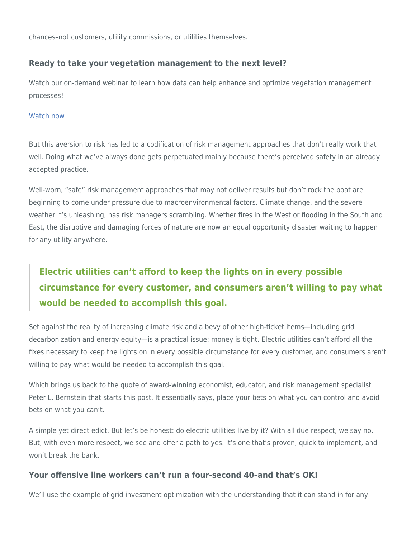chances–not customers, utility commissions, or utilities themselves.

## **Ready to take your vegetation management to the next level?**

Watch our on-demand webinar to learn how data can help enhance and optimize vegetation management processes!

#### [Watch now](https://www.esource.com/event/701221odsl/optimizing-vegetation-management-why-data-allows-us-make-better-decisions-ever)

But this aversion to risk has led to a codification of risk management approaches that don't really work that well. Doing what we've always done gets perpetuated mainly because there's perceived safety in an already accepted practice.

Well-worn, "safe" risk management approaches that may not deliver results but don't rock the boat are beginning to come under pressure due to macroenvironmental factors. Climate change, and the severe weather it's unleashing, has risk managers scrambling. Whether fires in the West or flooding in the South and East, the disruptive and damaging forces of nature are now an equal opportunity disaster waiting to happen for any utility anywhere.

## **Electric utilities can't afford to keep the lights on in every possible circumstance for every customer, and consumers aren't willing to pay what would be needed to accomplish this goal.**

Set against the reality of increasing climate risk and a bevy of other high-ticket items—including grid decarbonization and energy equity—is a practical issue: money is tight. Electric utilities can't afford all the fixes necessary to keep the lights on in every possible circumstance for every customer, and consumers aren't willing to pay what would be needed to accomplish this goal.

Which brings us back to the quote of award-winning economist, educator, and risk management specialist Peter L. Bernstein that starts this post. It essentially says, place your bets on what you can control and avoid bets on what you can't.

A simple yet direct edict. But let's be honest: do electric utilities live by it? With all due respect, we say no. But, with even more respect, we see and offer a path to yes. It's one that's proven, quick to implement, and won't break the bank.

## **Your offensive line workers can't run a four-second 40–and that's OK!**

We'll use the example of grid investment optimization with the understanding that it can stand in for any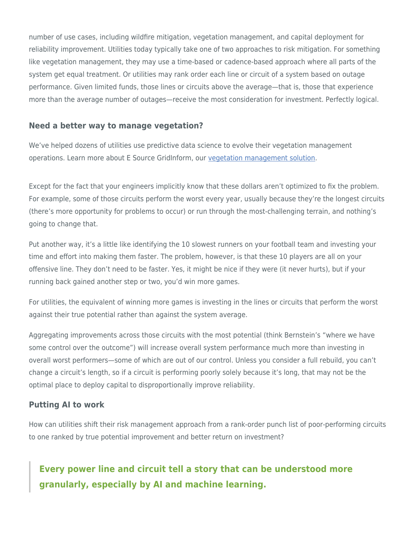number of use cases, including wildfire mitigation, vegetation management, and capital deployment for reliability improvement. Utilities today typically take one of two approaches to risk mitigation. For something like vegetation management, they may use a time-based or cadence-based approach where all parts of the system get equal treatment. Or utilities may rank order each line or circuit of a system based on outage performance. Given limited funds, those lines or circuits above the average—that is, those that experience more than the average number of outages—receive the most consideration for investment. Perfectly logical.

#### **Need a better way to manage vegetation?**

We've helped dozens of utilities use predictive data science to evolve their vegetation management operations. Learn more about E Source GridInform, our [vegetation management solution.](https://www.esource.com/701211hhhd/e-source-gridinform-vegetation-management-solution)

Except for the fact that your engineers implicitly know that these dollars aren't optimized to fix the problem. For example, some of those circuits perform the worst every year, usually because they're the longest circuits (there's more opportunity for problems to occur) or run through the most-challenging terrain, and nothing's going to change that.

Put another way, it's a little like identifying the 10 slowest runners on your football team and investing your time and effort into making them faster. The problem, however, is that these 10 players are all on your offensive line. They don't need to be faster. Yes, it might be nice if they were (it never hurts), but if your running back gained another step or two, you'd win more games.

For utilities, the equivalent of winning more games is investing in the lines or circuits that perform the worst against their true potential rather than against the system average.

Aggregating improvements across those circuits with the most potential (think Bernstein's "where we have some control over the outcome") will increase overall system performance much more than investing in overall worst performers—some of which are out of our control. Unless you consider a full rebuild, you can't change a circuit's length, so if a circuit is performing poorly solely because it's long, that may not be the optimal place to deploy capital to disproportionally improve reliability.

## **Putting AI to work**

How can utilities shift their risk management approach from a rank-order punch list of poor-performing circuits to one ranked by true potential improvement and better return on investment?

## **Every power line and circuit tell a story that can be understood more granularly, especially by AI and machine learning.**